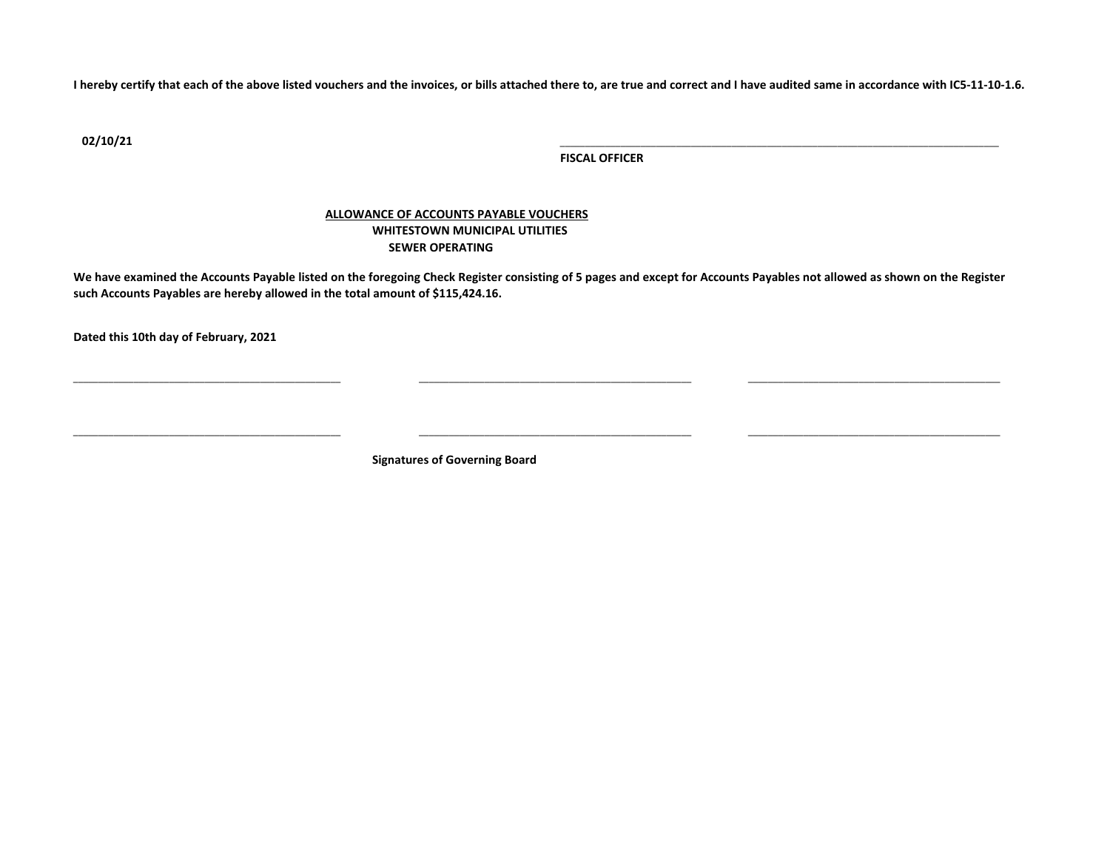**I hereby certify that each of the above listed vouchers and the invoices, or bills attached there to, are true and correct and I have audited same in accordance with IC5-11-10-1.6.**

**02/10/21** \_\_\_\_\_\_\_\_\_\_\_\_\_\_\_\_\_\_\_\_\_\_\_\_\_\_\_\_\_\_\_\_\_\_\_\_\_\_\_\_\_\_\_\_\_\_\_\_\_\_\_\_\_\_\_\_\_\_\_\_\_\_\_\_\_\_\_\_\_\_\_\_\_\_\_\_\_\_\_\_\_\_\_\_\_\_\_

**FISCAL OFFICER**

## **ALLOWANCE OF ACCOUNTS PAYABLE VOUCHERS WHITESTOWN MUNICIPAL UTILITIES SEWER OPERATING**

**We have examined the Accounts Payable listed on the foregoing Check Register consisting of 5 pages and except for Accounts Payables not allowed as shown on the Register such Accounts Payables are hereby allowed in the total amount of \$115,424.16.**

\_\_\_\_\_\_\_\_\_\_\_\_\_\_\_\_\_\_\_\_\_\_\_\_\_\_\_\_\_\_\_\_\_\_\_\_\_\_\_\_\_\_\_\_\_\_\_\_\_\_\_\_\_ \_\_\_\_\_\_\_\_\_\_\_\_\_\_\_\_\_\_\_\_\_\_\_\_\_\_\_\_\_\_\_\_\_\_\_\_\_\_\_\_\_\_\_\_\_\_\_\_\_\_\_\_\_\_ \_\_\_\_\_\_\_\_\_\_\_\_\_\_\_\_\_\_\_\_\_\_\_\_\_\_\_\_\_\_\_\_\_\_\_\_\_\_\_\_\_\_\_\_\_\_\_\_\_\_

\_\_\_\_\_\_\_\_\_\_\_\_\_\_\_\_\_\_\_\_\_\_\_\_\_\_\_\_\_\_\_\_\_\_\_\_\_\_\_\_\_\_\_\_\_\_\_\_\_\_\_\_\_ \_\_\_\_\_\_\_\_\_\_\_\_\_\_\_\_\_\_\_\_\_\_\_\_\_\_\_\_\_\_\_\_\_\_\_\_\_\_\_\_\_\_\_\_\_\_\_\_\_\_\_\_\_\_ \_\_\_\_\_\_\_\_\_\_\_\_\_\_\_\_\_\_\_\_\_\_\_\_\_\_\_\_\_\_\_\_\_\_\_\_\_\_\_\_\_\_\_\_\_\_\_\_\_\_

**Dated this 10th day of February, 2021**

**Signatures of Governing Board**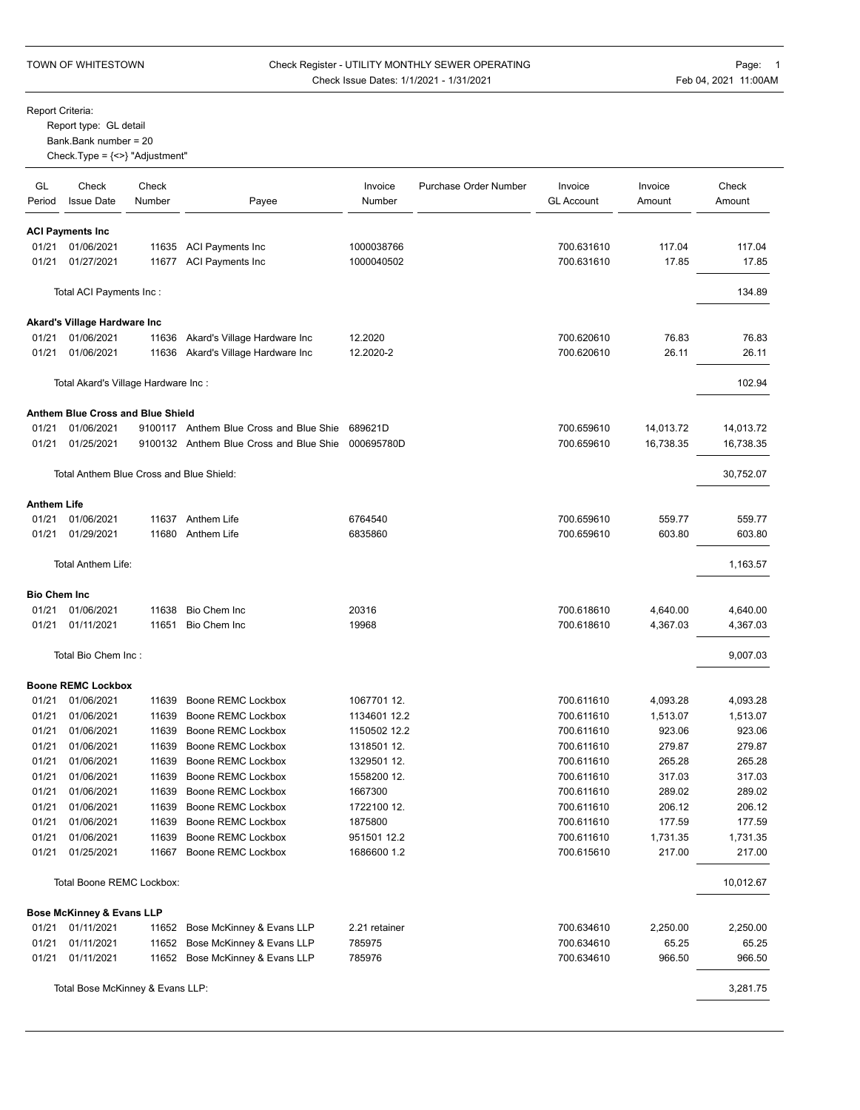## TOWN OF WHITESTOWN Check Register - UTILITY MONTHLY SEWER OPERATING FRAGE: 1 Check Issue Dates: 1/1/2021 - 1/31/2021 Teb 04, 2021 11:00AM

Report Criteria:

Report type: GL detail

Bank.Bank number = 20

Check.Type = {<>} "Adjustment"

| GL<br>Period        | Check<br><b>Issue Date</b>               | Check<br>Number | Payee                                                  | Invoice<br>Number | Purchase Order Number | Invoice<br><b>GL Account</b> | Invoice<br>Amount | Check<br>Amount |
|---------------------|------------------------------------------|-----------------|--------------------------------------------------------|-------------------|-----------------------|------------------------------|-------------------|-----------------|
|                     | <b>ACI Payments Inc</b>                  |                 |                                                        |                   |                       |                              |                   |                 |
| 01/21               | 01/06/2021                               |                 | 11635 ACI Payments Inc                                 | 1000038766        |                       | 700.631610                   | 117.04            | 117.04          |
| 01/21               | 01/27/2021                               |                 | 11677 ACI Payments Inc                                 | 1000040502        |                       | 700.631610                   | 17.85             | 17.85           |
|                     | Total ACI Payments Inc:                  |                 |                                                        |                   |                       |                              |                   | 134.89          |
|                     | Akard's Village Hardware Inc             |                 |                                                        |                   |                       |                              |                   |                 |
| 01/21               | 01/06/2021                               | 11636           | Akard's Village Hardware Inc                           | 12.2020           |                       | 700.620610                   | 76.83             | 76.83           |
| 01/21               | 01/06/2021                               |                 | 11636 Akard's Village Hardware Inc                     | 12.2020-2         |                       | 700.620610                   | 26.11             | 26.11           |
|                     | Total Akard's Village Hardware Inc:      |                 |                                                        |                   |                       |                              |                   | 102.94          |
|                     | Anthem Blue Cross and Blue Shield        |                 |                                                        |                   |                       |                              |                   |                 |
| 01/21               | 01/06/2021                               |                 | 9100117 Anthem Blue Cross and Blue Shie                | 689621D           |                       | 700.659610                   | 14,013.72         | 14,013.72       |
| 01/21               | 01/25/2021                               |                 | 9100132 Anthem Blue Cross and Blue Shie                | 000695780D        |                       | 700.659610                   | 16,738.35         | 16,738.35       |
|                     | Total Anthem Blue Cross and Blue Shield: |                 |                                                        |                   |                       |                              |                   | 30,752.07       |
| Anthem Life         |                                          |                 |                                                        |                   |                       |                              |                   |                 |
| 01/21               | 01/06/2021                               |                 | 11637 Anthem Life                                      | 6764540           |                       | 700.659610                   | 559.77            | 559.77          |
| 01/21               | 01/29/2021                               |                 | 11680 Anthem Life                                      | 6835860           |                       | 700.659610                   | 603.80            | 603.80          |
|                     | Total Anthem Life:                       |                 |                                                        |                   |                       |                              |                   | 1,163.57        |
| <b>Bio Chem Inc</b> |                                          |                 |                                                        |                   |                       |                              |                   |                 |
| 01/21               | 01/06/2021                               | 11638           | Bio Chem Inc                                           | 20316             |                       | 700.618610                   | 4,640.00          | 4,640.00        |
| 01/21               | 01/11/2021                               | 11651           | Bio Chem Inc                                           | 19968             |                       | 700.618610                   | 4,367.03          | 4,367.03        |
|                     | Total Bio Chem Inc:                      |                 |                                                        |                   |                       |                              |                   | 9,007.03        |
|                     | <b>Boone REMC Lockbox</b>                |                 |                                                        |                   |                       |                              |                   |                 |
| 01/21               | 01/06/2021                               | 11639           | Boone REMC Lockbox                                     | 1067701 12.       |                       | 700.611610                   | 4,093.28          | 4,093.28        |
| 01/21               | 01/06/2021                               | 11639           | Boone REMC Lockbox                                     | 1134601 12.2      |                       | 700.611610                   | 1,513.07          | 1,513.07        |
| 01/21               | 01/06/2021                               | 11639           | Boone REMC Lockbox                                     | 1150502 12.2      |                       | 700.611610                   | 923.06            | 923.06          |
| 01/21               | 01/06/2021                               | 11639           | Boone REMC Lockbox                                     | 1318501 12.       |                       | 700.611610                   | 279.87            | 279.87          |
| 01/21               | 01/06/2021                               | 11639           | Boone REMC Lockbox                                     | 1329501 12.       |                       | 700.611610                   | 265.28            | 265.28          |
| 01/21               | 01/06/2021                               | 11639           | Boone REMC Lockbox                                     | 1558200 12.       |                       | 700.611610                   | 317.03            | 317.03          |
| 01/21               | 01/06/2021                               | 11639           | Boone REMC Lockbox                                     | 1667300           |                       | 700.611610                   | 289.02            | 289.02          |
| 01/21               | 01/06/2021                               | 11639           | Boone REMC Lockbox                                     | 1722100 12.       |                       | 700.611610                   | 206.12            | 206.12          |
| 01/21               | 01/06/2021                               | 11639           | Boone REMC Lockbox                                     | 1875800           |                       | 700.611610                   | 177.59            | 177.59          |
| 01/21               | 01/06/2021                               | 11639           | Boone REMC Lockbox                                     | 951501 12.2       |                       | 700.611610                   | 1,731.35          | 1,731.35        |
| 01/21               | 01/25/2021                               |                 | 11667 Boone REMC Lockbox                               | 1686600 1.2       |                       | 700.615610                   | 217.00            | 217.00          |
|                     | Total Boone REMC Lockbox:                |                 |                                                        |                   |                       |                              |                   | 10,012.67       |
|                     | <b>Bose McKinney &amp; Evans LLP</b>     |                 |                                                        |                   |                       |                              |                   |                 |
| 01/21               | 01/11/2021                               |                 | 11652 Bose McKinney & Evans LLP                        | 2.21 retainer     |                       | 700.634610                   | 2,250.00          | 2,250.00        |
| 01/21<br>01/21      | 01/11/2021<br>01/11/2021                 | 11652<br>11652  | Bose McKinney & Evans LLP<br>Bose McKinney & Evans LLP | 785975<br>785976  |                       | 700.634610<br>700.634610     | 65.25<br>966.50   | 65.25<br>966.50 |
|                     |                                          |                 |                                                        |                   |                       |                              |                   |                 |
|                     | Total Bose McKinney & Evans LLP:         |                 |                                                        |                   |                       |                              |                   | 3,281.75        |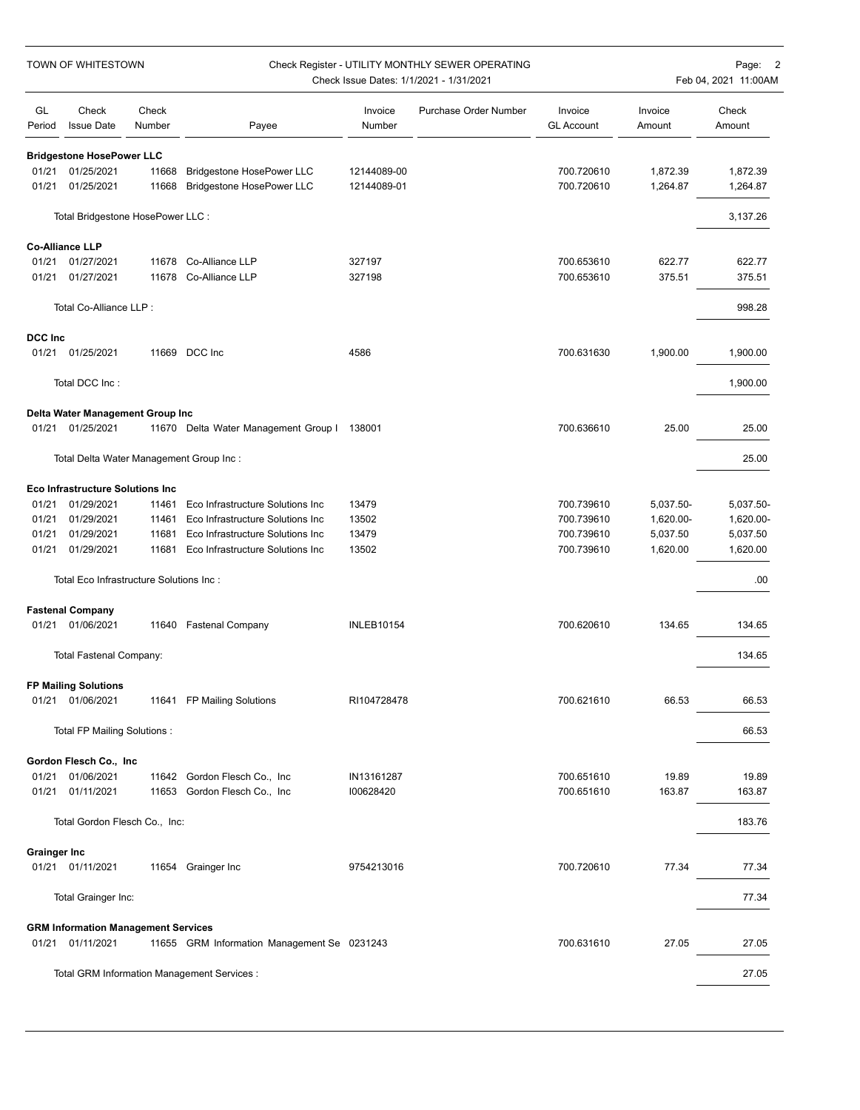| TOWN OF WHITESTOWN  |                                            |                 | Check Register - UTILITY MONTHLY SEWER OPERATING<br>Check Issue Dates: 1/1/2021 - 1/31/2021 |                   |                       |                              |                   | Page: 2<br>Feb 04, 2021 11:00AM |  |  |
|---------------------|--------------------------------------------|-----------------|---------------------------------------------------------------------------------------------|-------------------|-----------------------|------------------------------|-------------------|---------------------------------|--|--|
| GL<br>Period        | Check<br><b>Issue Date</b>                 | Check<br>Number | Payee                                                                                       | Invoice<br>Number | Purchase Order Number | Invoice<br><b>GL Account</b> | Invoice<br>Amount | Check<br>Amount                 |  |  |
|                     | <b>Bridgestone HosePower LLC</b>           |                 |                                                                                             |                   |                       |                              |                   |                                 |  |  |
| 01/21               | 01/25/2021                                 | 11668           | Bridgestone HosePower LLC                                                                   | 12144089-00       |                       | 700.720610                   | 1,872.39          | 1,872.39                        |  |  |
| 01/21               | 01/25/2021                                 | 11668           | Bridgestone HosePower LLC                                                                   | 12144089-01       |                       | 700.720610                   | 1,264.87          | 1,264.87                        |  |  |
|                     | Total Bridgestone HosePower LLC :          |                 |                                                                                             |                   |                       |                              |                   | 3,137.26                        |  |  |
|                     | <b>Co-Alliance LLP</b>                     |                 |                                                                                             |                   |                       |                              |                   |                                 |  |  |
| 01/21               | 01/27/2021                                 | 11678           | Co-Alliance LLP                                                                             | 327197            |                       | 700.653610                   | 622.77            | 622.77                          |  |  |
| 01/21               | 01/27/2021                                 | 11678           | Co-Alliance LLP                                                                             | 327198            |                       | 700.653610                   | 375.51            | 375.51                          |  |  |
|                     | Total Co-Alliance LLP :                    |                 |                                                                                             |                   |                       |                              |                   | 998.28                          |  |  |
| <b>DCC Inc</b>      |                                            |                 |                                                                                             |                   |                       |                              |                   |                                 |  |  |
| 01/21               | 01/25/2021                                 |                 | 11669 DCC Inc                                                                               | 4586              |                       | 700.631630                   | 1,900.00          | 1,900.00                        |  |  |
|                     | Total DCC Inc:                             |                 |                                                                                             |                   |                       |                              |                   | 1,900.00                        |  |  |
|                     | Delta Water Management Group Inc           |                 |                                                                                             |                   |                       |                              |                   |                                 |  |  |
| 01/21               | 01/25/2021                                 |                 | 11670 Delta Water Management Group I 138001                                                 |                   |                       | 700.636610                   | 25.00             | 25.00                           |  |  |
|                     | Total Delta Water Management Group Inc:    |                 |                                                                                             |                   |                       |                              |                   | 25.00                           |  |  |
|                     | <b>Eco Infrastructure Solutions Inc.</b>   |                 |                                                                                             |                   |                       |                              |                   |                                 |  |  |
| 01/21               | 01/29/2021                                 | 11461           | Eco Infrastructure Solutions Inc                                                            | 13479             |                       | 700.739610                   | 5,037.50-         | 5,037.50-                       |  |  |
| 01/21               | 01/29/2021                                 | 11461           | Eco Infrastructure Solutions Inc                                                            | 13502             |                       | 700.739610                   | 1,620.00-         | 1,620.00-                       |  |  |
| 01/21               | 01/29/2021                                 | 11681           | Eco Infrastructure Solutions Inc                                                            | 13479             |                       | 700.739610                   | 5,037.50          | 5,037.50                        |  |  |
| 01/21               | 01/29/2021                                 | 11681           | Eco Infrastructure Solutions Inc                                                            | 13502             |                       | 700.739610                   | 1,620.00          | 1,620.00                        |  |  |
|                     | Total Eco Infrastructure Solutions Inc :   |                 |                                                                                             |                   |                       |                              |                   | .00                             |  |  |
|                     | <b>Fastenal Company</b>                    |                 |                                                                                             |                   |                       |                              |                   |                                 |  |  |
| 01/21               | 01/06/2021                                 |                 | 11640 Fastenal Company                                                                      | <b>INLEB10154</b> |                       | 700.620610                   | 134.65            | 134.65                          |  |  |
|                     | Total Fastenal Company:                    |                 |                                                                                             |                   |                       |                              |                   | 134.65                          |  |  |
|                     | <b>FP Mailing Solutions</b>                |                 |                                                                                             |                   |                       |                              |                   |                                 |  |  |
|                     | 01/21 01/06/2021                           |                 | 11641 FP Mailing Solutions                                                                  | RI104728478       |                       | 700.621610                   | 66.53             | 66.53                           |  |  |
|                     | Total FP Mailing Solutions :               |                 |                                                                                             |                   |                       |                              |                   | 66.53                           |  |  |
|                     | Gordon Flesch Co., Inc.                    |                 |                                                                                             |                   |                       |                              |                   |                                 |  |  |
| 01/21               | 01/06/2021                                 |                 | 11642 Gordon Flesch Co., Inc.                                                               | IN13161287        |                       | 700.651610                   | 19.89             | 19.89                           |  |  |
| 01/21               | 01/11/2021                                 |                 | 11653 Gordon Flesch Co., Inc.                                                               | 100628420         |                       | 700.651610                   | 163.87            | 163.87                          |  |  |
|                     | Total Gordon Flesch Co., Inc:              |                 |                                                                                             |                   |                       |                              |                   | 183.76                          |  |  |
| <b>Grainger Inc</b> |                                            |                 |                                                                                             |                   |                       |                              |                   |                                 |  |  |
|                     | 01/21 01/11/2021                           |                 | 11654 Grainger Inc                                                                          | 9754213016        |                       | 700.720610                   | 77.34             | 77.34                           |  |  |
|                     | Total Grainger Inc:                        |                 |                                                                                             |                   |                       |                              |                   | 77.34                           |  |  |
|                     | <b>GRM Information Management Services</b> |                 |                                                                                             |                   |                       |                              |                   |                                 |  |  |
|                     | 01/21 01/11/2021                           |                 | 11655 GRM Information Management Se 0231243                                                 |                   |                       | 700.631610                   | 27.05             | 27.05                           |  |  |
|                     |                                            |                 | Total GRM Information Management Services :                                                 |                   |                       |                              |                   | 27.05                           |  |  |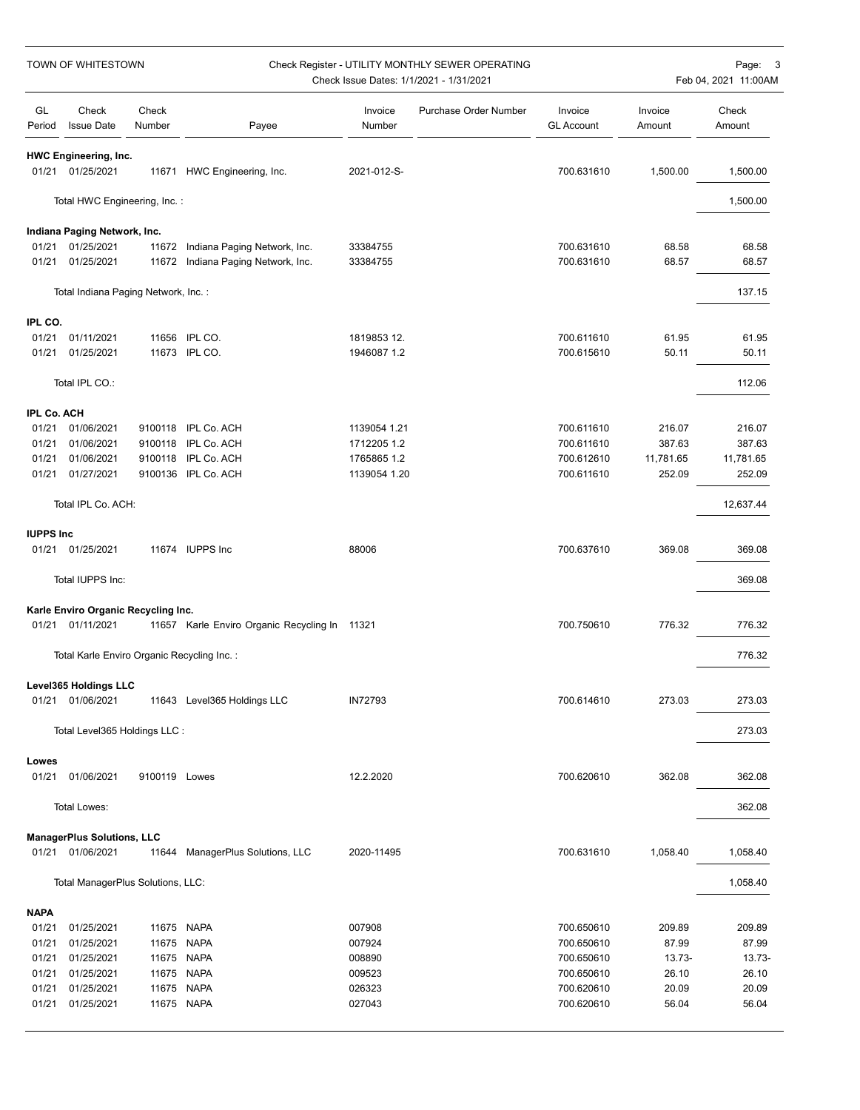| GL<br>Check<br>Check<br>Invoice<br>Purchase Order Number<br>Invoice<br>Invoice<br>Check<br><b>Issue Date</b><br>Number<br><b>GL Account</b><br>Amount<br>Period<br>Number<br>Payee<br>Amount<br><b>HWC Engineering, Inc.</b><br>01/25/2021<br>11671 HWC Engineering, Inc.<br>2021-012-S-<br>700.631610<br>1,500.00<br>01/21<br>1,500.00<br>Total HWC Engineering, Inc.:<br>1,500.00<br>Indiana Paging Network, Inc.<br>01/21<br>01/25/2021<br>Indiana Paging Network, Inc.<br>700.631610<br>68.58<br>68.58<br>11672<br>33384755<br>01/25/2021<br>68.57<br>01/21<br>11672 Indiana Paging Network, Inc.<br>33384755<br>700.631610<br>68.57<br>137.15<br>Total Indiana Paging Network, Inc.:<br>IPL CO.<br>01/21<br>01/11/2021<br>11656 IPL CO.<br>1819853 12.<br>700.611610<br>61.95<br>61.95<br>11673 IPL CO.<br>50.11<br>01/21<br>01/25/2021<br>1946087 1.2<br>700.615610<br>50.11<br>Total IPL CO.:<br>112.06<br><b>IPL Co. ACH</b><br>01/21<br>01/06/2021<br>9100118<br>IPL Co. ACH<br>1139054 1.21<br>700.611610<br>216.07<br>216.07<br>01/21<br>01/06/2021<br>9100118 IPL Co. ACH<br>387.63<br>387.63<br>1712205 1.2<br>700.611610<br>01/06/2021<br>IPL Co. ACH<br>01/21<br>9100118<br>1765865 1.2<br>700.612610<br>11,781.65<br>11,781.65<br>01/21<br>01/27/2021<br>9100136 IPL Co. ACH<br>252.09<br>1139054 1.20<br>700.611610<br>252.09<br>Total IPL Co. ACH:<br>12,637.44<br><b>IUPPS Inc</b><br>01/25/2021<br>11674 IUPPS Inc<br>369.08<br>01/21<br>88006<br>700.637610<br>369.08<br>Total IUPPS Inc:<br>369.08<br>Karle Enviro Organic Recycling Inc.<br>700.750610<br>776.32<br>776.32<br>01/21<br>01/11/2021<br>11657 Karle Enviro Organic Recycling In 11321<br>Total Karle Enviro Organic Recycling Inc.:<br>776.32<br>Level365 Holdings LLC<br>01/21<br>01/06/2021<br>11643 Level365 Holdings LLC<br>IN72793<br>700.614610<br>273.03<br>273.03<br>Total Level365 Holdings LLC :<br>273.03<br>Lowes<br>01/21<br>362.08<br>01/06/2021<br>9100119 Lowes<br>12.2.2020<br>700.620610<br>362.08<br><b>Total Lowes:</b><br>362.08<br><b>ManagerPlus Solutions, LLC</b><br>01/21 01/06/2021<br>11644 ManagerPlus Solutions, LLC<br>2020-11495<br>700.631610<br>1,058.40<br>1,058.40<br>Total ManagerPlus Solutions, LLC:<br>1,058.40<br><b>NAPA</b><br>01/21<br>209.89<br>01/25/2021<br>11675 NAPA<br>007908<br>700.650610<br>209.89<br>01/21<br>01/25/2021<br>11675 NAPA<br>007924<br>700.650610<br>87.99<br>87.99<br>01/21<br>11675 NAPA<br>008890<br>$13.73-$<br>01/25/2021<br>700.650610<br>13.73-<br>26.10<br>26.10<br>01/21<br>01/25/2021<br>11675 NAPA<br>009523<br>700.650610<br>026323<br>20.09<br>01/21<br>01/25/2021<br>11675 NAPA<br>700.620610<br>20.09<br>01/21<br>01/25/2021<br>027043<br>56.04<br>11675 NAPA<br>700.620610<br>56.04 | TOWN OF WHITESTOWN |  | Check Register - UTILITY MONTHLY SEWER OPERATING<br>Check Issue Dates: 1/1/2021 - 1/31/2021 |  |  |  |  | Page: 3<br>Feb 04, 2021 11:00AM |  |
|------------------------------------------------------------------------------------------------------------------------------------------------------------------------------------------------------------------------------------------------------------------------------------------------------------------------------------------------------------------------------------------------------------------------------------------------------------------------------------------------------------------------------------------------------------------------------------------------------------------------------------------------------------------------------------------------------------------------------------------------------------------------------------------------------------------------------------------------------------------------------------------------------------------------------------------------------------------------------------------------------------------------------------------------------------------------------------------------------------------------------------------------------------------------------------------------------------------------------------------------------------------------------------------------------------------------------------------------------------------------------------------------------------------------------------------------------------------------------------------------------------------------------------------------------------------------------------------------------------------------------------------------------------------------------------------------------------------------------------------------------------------------------------------------------------------------------------------------------------------------------------------------------------------------------------------------------------------------------------------------------------------------------------------------------------------------------------------------------------------------------------------------------------------------------------------------------------------------------------------------------------------------------------------------------------------------------------------------------------------------------------------------------------------------------------------------------------------------------------------------------------------------------------------------------------------------------------------------------------------------------------------------------------------------------------------------------------------------------------------------------------|--------------------|--|---------------------------------------------------------------------------------------------|--|--|--|--|---------------------------------|--|
|                                                                                                                                                                                                                                                                                                                                                                                                                                                                                                                                                                                                                                                                                                                                                                                                                                                                                                                                                                                                                                                                                                                                                                                                                                                                                                                                                                                                                                                                                                                                                                                                                                                                                                                                                                                                                                                                                                                                                                                                                                                                                                                                                                                                                                                                                                                                                                                                                                                                                                                                                                                                                                                                                                                                                            |                    |  |                                                                                             |  |  |  |  |                                 |  |
|                                                                                                                                                                                                                                                                                                                                                                                                                                                                                                                                                                                                                                                                                                                                                                                                                                                                                                                                                                                                                                                                                                                                                                                                                                                                                                                                                                                                                                                                                                                                                                                                                                                                                                                                                                                                                                                                                                                                                                                                                                                                                                                                                                                                                                                                                                                                                                                                                                                                                                                                                                                                                                                                                                                                                            |                    |  |                                                                                             |  |  |  |  |                                 |  |
|                                                                                                                                                                                                                                                                                                                                                                                                                                                                                                                                                                                                                                                                                                                                                                                                                                                                                                                                                                                                                                                                                                                                                                                                                                                                                                                                                                                                                                                                                                                                                                                                                                                                                                                                                                                                                                                                                                                                                                                                                                                                                                                                                                                                                                                                                                                                                                                                                                                                                                                                                                                                                                                                                                                                                            |                    |  |                                                                                             |  |  |  |  |                                 |  |
|                                                                                                                                                                                                                                                                                                                                                                                                                                                                                                                                                                                                                                                                                                                                                                                                                                                                                                                                                                                                                                                                                                                                                                                                                                                                                                                                                                                                                                                                                                                                                                                                                                                                                                                                                                                                                                                                                                                                                                                                                                                                                                                                                                                                                                                                                                                                                                                                                                                                                                                                                                                                                                                                                                                                                            |                    |  |                                                                                             |  |  |  |  |                                 |  |
|                                                                                                                                                                                                                                                                                                                                                                                                                                                                                                                                                                                                                                                                                                                                                                                                                                                                                                                                                                                                                                                                                                                                                                                                                                                                                                                                                                                                                                                                                                                                                                                                                                                                                                                                                                                                                                                                                                                                                                                                                                                                                                                                                                                                                                                                                                                                                                                                                                                                                                                                                                                                                                                                                                                                                            |                    |  |                                                                                             |  |  |  |  |                                 |  |
|                                                                                                                                                                                                                                                                                                                                                                                                                                                                                                                                                                                                                                                                                                                                                                                                                                                                                                                                                                                                                                                                                                                                                                                                                                                                                                                                                                                                                                                                                                                                                                                                                                                                                                                                                                                                                                                                                                                                                                                                                                                                                                                                                                                                                                                                                                                                                                                                                                                                                                                                                                                                                                                                                                                                                            |                    |  |                                                                                             |  |  |  |  |                                 |  |
|                                                                                                                                                                                                                                                                                                                                                                                                                                                                                                                                                                                                                                                                                                                                                                                                                                                                                                                                                                                                                                                                                                                                                                                                                                                                                                                                                                                                                                                                                                                                                                                                                                                                                                                                                                                                                                                                                                                                                                                                                                                                                                                                                                                                                                                                                                                                                                                                                                                                                                                                                                                                                                                                                                                                                            |                    |  |                                                                                             |  |  |  |  |                                 |  |
|                                                                                                                                                                                                                                                                                                                                                                                                                                                                                                                                                                                                                                                                                                                                                                                                                                                                                                                                                                                                                                                                                                                                                                                                                                                                                                                                                                                                                                                                                                                                                                                                                                                                                                                                                                                                                                                                                                                                                                                                                                                                                                                                                                                                                                                                                                                                                                                                                                                                                                                                                                                                                                                                                                                                                            |                    |  |                                                                                             |  |  |  |  |                                 |  |
|                                                                                                                                                                                                                                                                                                                                                                                                                                                                                                                                                                                                                                                                                                                                                                                                                                                                                                                                                                                                                                                                                                                                                                                                                                                                                                                                                                                                                                                                                                                                                                                                                                                                                                                                                                                                                                                                                                                                                                                                                                                                                                                                                                                                                                                                                                                                                                                                                                                                                                                                                                                                                                                                                                                                                            |                    |  |                                                                                             |  |  |  |  |                                 |  |
|                                                                                                                                                                                                                                                                                                                                                                                                                                                                                                                                                                                                                                                                                                                                                                                                                                                                                                                                                                                                                                                                                                                                                                                                                                                                                                                                                                                                                                                                                                                                                                                                                                                                                                                                                                                                                                                                                                                                                                                                                                                                                                                                                                                                                                                                                                                                                                                                                                                                                                                                                                                                                                                                                                                                                            |                    |  |                                                                                             |  |  |  |  |                                 |  |
|                                                                                                                                                                                                                                                                                                                                                                                                                                                                                                                                                                                                                                                                                                                                                                                                                                                                                                                                                                                                                                                                                                                                                                                                                                                                                                                                                                                                                                                                                                                                                                                                                                                                                                                                                                                                                                                                                                                                                                                                                                                                                                                                                                                                                                                                                                                                                                                                                                                                                                                                                                                                                                                                                                                                                            |                    |  |                                                                                             |  |  |  |  |                                 |  |
|                                                                                                                                                                                                                                                                                                                                                                                                                                                                                                                                                                                                                                                                                                                                                                                                                                                                                                                                                                                                                                                                                                                                                                                                                                                                                                                                                                                                                                                                                                                                                                                                                                                                                                                                                                                                                                                                                                                                                                                                                                                                                                                                                                                                                                                                                                                                                                                                                                                                                                                                                                                                                                                                                                                                                            |                    |  |                                                                                             |  |  |  |  |                                 |  |
|                                                                                                                                                                                                                                                                                                                                                                                                                                                                                                                                                                                                                                                                                                                                                                                                                                                                                                                                                                                                                                                                                                                                                                                                                                                                                                                                                                                                                                                                                                                                                                                                                                                                                                                                                                                                                                                                                                                                                                                                                                                                                                                                                                                                                                                                                                                                                                                                                                                                                                                                                                                                                                                                                                                                                            |                    |  |                                                                                             |  |  |  |  |                                 |  |
|                                                                                                                                                                                                                                                                                                                                                                                                                                                                                                                                                                                                                                                                                                                                                                                                                                                                                                                                                                                                                                                                                                                                                                                                                                                                                                                                                                                                                                                                                                                                                                                                                                                                                                                                                                                                                                                                                                                                                                                                                                                                                                                                                                                                                                                                                                                                                                                                                                                                                                                                                                                                                                                                                                                                                            |                    |  |                                                                                             |  |  |  |  |                                 |  |
|                                                                                                                                                                                                                                                                                                                                                                                                                                                                                                                                                                                                                                                                                                                                                                                                                                                                                                                                                                                                                                                                                                                                                                                                                                                                                                                                                                                                                                                                                                                                                                                                                                                                                                                                                                                                                                                                                                                                                                                                                                                                                                                                                                                                                                                                                                                                                                                                                                                                                                                                                                                                                                                                                                                                                            |                    |  |                                                                                             |  |  |  |  |                                 |  |
|                                                                                                                                                                                                                                                                                                                                                                                                                                                                                                                                                                                                                                                                                                                                                                                                                                                                                                                                                                                                                                                                                                                                                                                                                                                                                                                                                                                                                                                                                                                                                                                                                                                                                                                                                                                                                                                                                                                                                                                                                                                                                                                                                                                                                                                                                                                                                                                                                                                                                                                                                                                                                                                                                                                                                            |                    |  |                                                                                             |  |  |  |  |                                 |  |
|                                                                                                                                                                                                                                                                                                                                                                                                                                                                                                                                                                                                                                                                                                                                                                                                                                                                                                                                                                                                                                                                                                                                                                                                                                                                                                                                                                                                                                                                                                                                                                                                                                                                                                                                                                                                                                                                                                                                                                                                                                                                                                                                                                                                                                                                                                                                                                                                                                                                                                                                                                                                                                                                                                                                                            |                    |  |                                                                                             |  |  |  |  |                                 |  |
|                                                                                                                                                                                                                                                                                                                                                                                                                                                                                                                                                                                                                                                                                                                                                                                                                                                                                                                                                                                                                                                                                                                                                                                                                                                                                                                                                                                                                                                                                                                                                                                                                                                                                                                                                                                                                                                                                                                                                                                                                                                                                                                                                                                                                                                                                                                                                                                                                                                                                                                                                                                                                                                                                                                                                            |                    |  |                                                                                             |  |  |  |  |                                 |  |
|                                                                                                                                                                                                                                                                                                                                                                                                                                                                                                                                                                                                                                                                                                                                                                                                                                                                                                                                                                                                                                                                                                                                                                                                                                                                                                                                                                                                                                                                                                                                                                                                                                                                                                                                                                                                                                                                                                                                                                                                                                                                                                                                                                                                                                                                                                                                                                                                                                                                                                                                                                                                                                                                                                                                                            |                    |  |                                                                                             |  |  |  |  |                                 |  |
|                                                                                                                                                                                                                                                                                                                                                                                                                                                                                                                                                                                                                                                                                                                                                                                                                                                                                                                                                                                                                                                                                                                                                                                                                                                                                                                                                                                                                                                                                                                                                                                                                                                                                                                                                                                                                                                                                                                                                                                                                                                                                                                                                                                                                                                                                                                                                                                                                                                                                                                                                                                                                                                                                                                                                            |                    |  |                                                                                             |  |  |  |  |                                 |  |
|                                                                                                                                                                                                                                                                                                                                                                                                                                                                                                                                                                                                                                                                                                                                                                                                                                                                                                                                                                                                                                                                                                                                                                                                                                                                                                                                                                                                                                                                                                                                                                                                                                                                                                                                                                                                                                                                                                                                                                                                                                                                                                                                                                                                                                                                                                                                                                                                                                                                                                                                                                                                                                                                                                                                                            |                    |  |                                                                                             |  |  |  |  |                                 |  |
|                                                                                                                                                                                                                                                                                                                                                                                                                                                                                                                                                                                                                                                                                                                                                                                                                                                                                                                                                                                                                                                                                                                                                                                                                                                                                                                                                                                                                                                                                                                                                                                                                                                                                                                                                                                                                                                                                                                                                                                                                                                                                                                                                                                                                                                                                                                                                                                                                                                                                                                                                                                                                                                                                                                                                            |                    |  |                                                                                             |  |  |  |  |                                 |  |
|                                                                                                                                                                                                                                                                                                                                                                                                                                                                                                                                                                                                                                                                                                                                                                                                                                                                                                                                                                                                                                                                                                                                                                                                                                                                                                                                                                                                                                                                                                                                                                                                                                                                                                                                                                                                                                                                                                                                                                                                                                                                                                                                                                                                                                                                                                                                                                                                                                                                                                                                                                                                                                                                                                                                                            |                    |  |                                                                                             |  |  |  |  |                                 |  |
|                                                                                                                                                                                                                                                                                                                                                                                                                                                                                                                                                                                                                                                                                                                                                                                                                                                                                                                                                                                                                                                                                                                                                                                                                                                                                                                                                                                                                                                                                                                                                                                                                                                                                                                                                                                                                                                                                                                                                                                                                                                                                                                                                                                                                                                                                                                                                                                                                                                                                                                                                                                                                                                                                                                                                            |                    |  |                                                                                             |  |  |  |  |                                 |  |
|                                                                                                                                                                                                                                                                                                                                                                                                                                                                                                                                                                                                                                                                                                                                                                                                                                                                                                                                                                                                                                                                                                                                                                                                                                                                                                                                                                                                                                                                                                                                                                                                                                                                                                                                                                                                                                                                                                                                                                                                                                                                                                                                                                                                                                                                                                                                                                                                                                                                                                                                                                                                                                                                                                                                                            |                    |  |                                                                                             |  |  |  |  |                                 |  |
|                                                                                                                                                                                                                                                                                                                                                                                                                                                                                                                                                                                                                                                                                                                                                                                                                                                                                                                                                                                                                                                                                                                                                                                                                                                                                                                                                                                                                                                                                                                                                                                                                                                                                                                                                                                                                                                                                                                                                                                                                                                                                                                                                                                                                                                                                                                                                                                                                                                                                                                                                                                                                                                                                                                                                            |                    |  |                                                                                             |  |  |  |  |                                 |  |
|                                                                                                                                                                                                                                                                                                                                                                                                                                                                                                                                                                                                                                                                                                                                                                                                                                                                                                                                                                                                                                                                                                                                                                                                                                                                                                                                                                                                                                                                                                                                                                                                                                                                                                                                                                                                                                                                                                                                                                                                                                                                                                                                                                                                                                                                                                                                                                                                                                                                                                                                                                                                                                                                                                                                                            |                    |  |                                                                                             |  |  |  |  |                                 |  |
|                                                                                                                                                                                                                                                                                                                                                                                                                                                                                                                                                                                                                                                                                                                                                                                                                                                                                                                                                                                                                                                                                                                                                                                                                                                                                                                                                                                                                                                                                                                                                                                                                                                                                                                                                                                                                                                                                                                                                                                                                                                                                                                                                                                                                                                                                                                                                                                                                                                                                                                                                                                                                                                                                                                                                            |                    |  |                                                                                             |  |  |  |  |                                 |  |
|                                                                                                                                                                                                                                                                                                                                                                                                                                                                                                                                                                                                                                                                                                                                                                                                                                                                                                                                                                                                                                                                                                                                                                                                                                                                                                                                                                                                                                                                                                                                                                                                                                                                                                                                                                                                                                                                                                                                                                                                                                                                                                                                                                                                                                                                                                                                                                                                                                                                                                                                                                                                                                                                                                                                                            |                    |  |                                                                                             |  |  |  |  |                                 |  |
|                                                                                                                                                                                                                                                                                                                                                                                                                                                                                                                                                                                                                                                                                                                                                                                                                                                                                                                                                                                                                                                                                                                                                                                                                                                                                                                                                                                                                                                                                                                                                                                                                                                                                                                                                                                                                                                                                                                                                                                                                                                                                                                                                                                                                                                                                                                                                                                                                                                                                                                                                                                                                                                                                                                                                            |                    |  |                                                                                             |  |  |  |  |                                 |  |
|                                                                                                                                                                                                                                                                                                                                                                                                                                                                                                                                                                                                                                                                                                                                                                                                                                                                                                                                                                                                                                                                                                                                                                                                                                                                                                                                                                                                                                                                                                                                                                                                                                                                                                                                                                                                                                                                                                                                                                                                                                                                                                                                                                                                                                                                                                                                                                                                                                                                                                                                                                                                                                                                                                                                                            |                    |  |                                                                                             |  |  |  |  |                                 |  |
|                                                                                                                                                                                                                                                                                                                                                                                                                                                                                                                                                                                                                                                                                                                                                                                                                                                                                                                                                                                                                                                                                                                                                                                                                                                                                                                                                                                                                                                                                                                                                                                                                                                                                                                                                                                                                                                                                                                                                                                                                                                                                                                                                                                                                                                                                                                                                                                                                                                                                                                                                                                                                                                                                                                                                            |                    |  |                                                                                             |  |  |  |  |                                 |  |
|                                                                                                                                                                                                                                                                                                                                                                                                                                                                                                                                                                                                                                                                                                                                                                                                                                                                                                                                                                                                                                                                                                                                                                                                                                                                                                                                                                                                                                                                                                                                                                                                                                                                                                                                                                                                                                                                                                                                                                                                                                                                                                                                                                                                                                                                                                                                                                                                                                                                                                                                                                                                                                                                                                                                                            |                    |  |                                                                                             |  |  |  |  |                                 |  |
|                                                                                                                                                                                                                                                                                                                                                                                                                                                                                                                                                                                                                                                                                                                                                                                                                                                                                                                                                                                                                                                                                                                                                                                                                                                                                                                                                                                                                                                                                                                                                                                                                                                                                                                                                                                                                                                                                                                                                                                                                                                                                                                                                                                                                                                                                                                                                                                                                                                                                                                                                                                                                                                                                                                                                            |                    |  |                                                                                             |  |  |  |  |                                 |  |
|                                                                                                                                                                                                                                                                                                                                                                                                                                                                                                                                                                                                                                                                                                                                                                                                                                                                                                                                                                                                                                                                                                                                                                                                                                                                                                                                                                                                                                                                                                                                                                                                                                                                                                                                                                                                                                                                                                                                                                                                                                                                                                                                                                                                                                                                                                                                                                                                                                                                                                                                                                                                                                                                                                                                                            |                    |  |                                                                                             |  |  |  |  |                                 |  |
|                                                                                                                                                                                                                                                                                                                                                                                                                                                                                                                                                                                                                                                                                                                                                                                                                                                                                                                                                                                                                                                                                                                                                                                                                                                                                                                                                                                                                                                                                                                                                                                                                                                                                                                                                                                                                                                                                                                                                                                                                                                                                                                                                                                                                                                                                                                                                                                                                                                                                                                                                                                                                                                                                                                                                            |                    |  |                                                                                             |  |  |  |  |                                 |  |
|                                                                                                                                                                                                                                                                                                                                                                                                                                                                                                                                                                                                                                                                                                                                                                                                                                                                                                                                                                                                                                                                                                                                                                                                                                                                                                                                                                                                                                                                                                                                                                                                                                                                                                                                                                                                                                                                                                                                                                                                                                                                                                                                                                                                                                                                                                                                                                                                                                                                                                                                                                                                                                                                                                                                                            |                    |  |                                                                                             |  |  |  |  |                                 |  |
|                                                                                                                                                                                                                                                                                                                                                                                                                                                                                                                                                                                                                                                                                                                                                                                                                                                                                                                                                                                                                                                                                                                                                                                                                                                                                                                                                                                                                                                                                                                                                                                                                                                                                                                                                                                                                                                                                                                                                                                                                                                                                                                                                                                                                                                                                                                                                                                                                                                                                                                                                                                                                                                                                                                                                            |                    |  |                                                                                             |  |  |  |  |                                 |  |
|                                                                                                                                                                                                                                                                                                                                                                                                                                                                                                                                                                                                                                                                                                                                                                                                                                                                                                                                                                                                                                                                                                                                                                                                                                                                                                                                                                                                                                                                                                                                                                                                                                                                                                                                                                                                                                                                                                                                                                                                                                                                                                                                                                                                                                                                                                                                                                                                                                                                                                                                                                                                                                                                                                                                                            |                    |  |                                                                                             |  |  |  |  |                                 |  |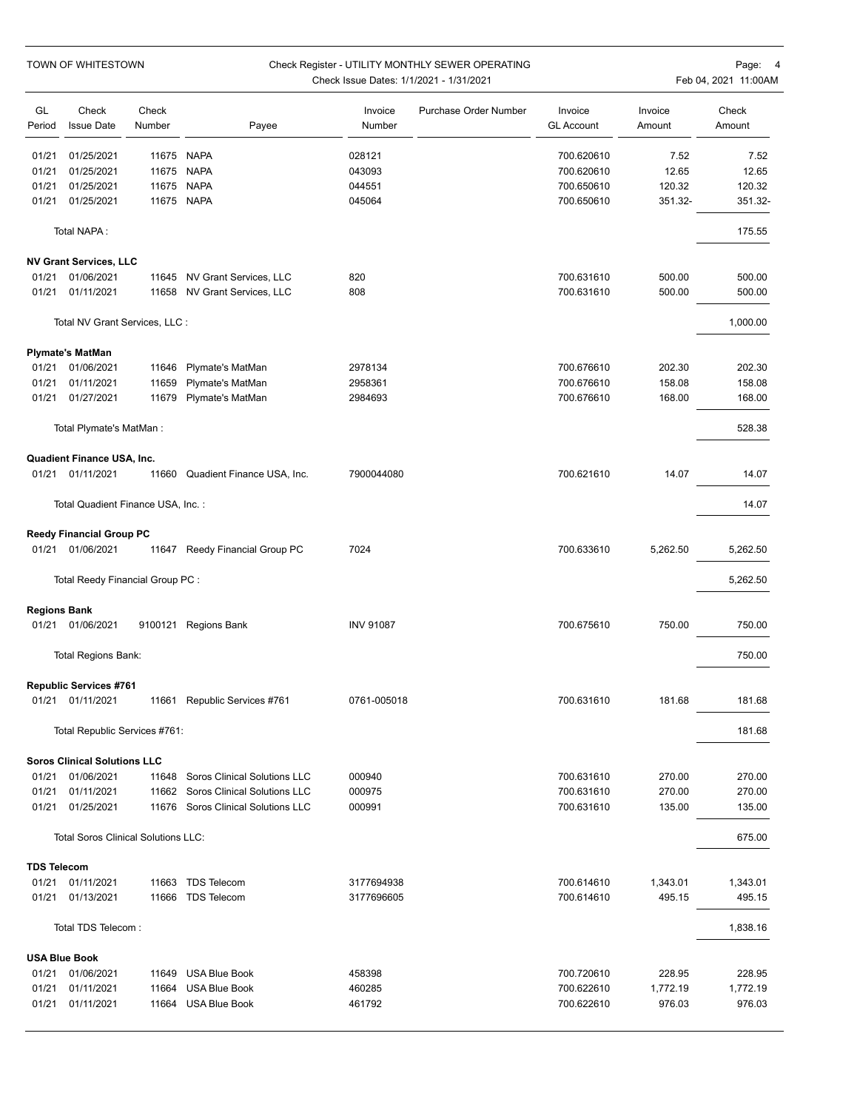|                              | TOWN OF WHITESTOWN                            |                 | Check Register - UTILITY MONTHLY SEWER OPERATING<br>Check Issue Dates: 1/1/2021 - 1/31/2021 |                   |                       |                              |                   | Page:<br>Feb 04, 2021 11:00AM |  |  |
|------------------------------|-----------------------------------------------|-----------------|---------------------------------------------------------------------------------------------|-------------------|-----------------------|------------------------------|-------------------|-------------------------------|--|--|
| GL<br>Period                 | Check<br><b>Issue Date</b>                    | Check<br>Number | Payee                                                                                       | Invoice<br>Number | Purchase Order Number | Invoice<br><b>GL Account</b> | Invoice<br>Amount | Check<br>Amount               |  |  |
| 01/21                        | 01/25/2021                                    | 11675           | <b>NAPA</b>                                                                                 | 028121            |                       | 700.620610                   | 7.52              | 7.52                          |  |  |
| 01/21                        | 01/25/2021                                    | 11675           | <b>NAPA</b>                                                                                 | 043093            |                       | 700.620610                   | 12.65             | 12.65                         |  |  |
| 01/21                        | 01/25/2021                                    | 11675           | <b>NAPA</b>                                                                                 | 044551            |                       | 700.650610                   | 120.32            | 120.32                        |  |  |
| 01/21                        | 01/25/2021                                    |                 | 11675 NAPA                                                                                  | 045064            |                       | 700.650610                   | 351.32-           | 351.32-                       |  |  |
|                              | Total NAPA:                                   |                 |                                                                                             |                   |                       |                              |                   | 175.55                        |  |  |
|                              | <b>NV Grant Services, LLC</b>                 |                 |                                                                                             |                   |                       |                              |                   |                               |  |  |
| 01/21                        | 01/06/2021                                    | 11645           | NV Grant Services, LLC                                                                      | 820               |                       | 700.631610                   | 500.00            | 500.00                        |  |  |
| 01/21                        | 01/11/2021                                    | 11658           | NV Grant Services, LLC                                                                      | 808               |                       | 700.631610                   | 500.00            | 500.00                        |  |  |
|                              | Total NV Grant Services, LLC :                |                 |                                                                                             |                   |                       |                              |                   | 1,000.00                      |  |  |
|                              | <b>Plymate's MatMan</b>                       |                 |                                                                                             |                   |                       |                              |                   |                               |  |  |
| 01/21                        | 01/06/2021                                    | 11646           | Plymate's MatMan                                                                            | 2978134           |                       | 700.676610                   | 202.30            | 202.30                        |  |  |
| 01/21                        | 01/11/2021                                    | 11659           | Plymate's MatMan                                                                            | 2958361           |                       | 700.676610                   | 158.08            | 158.08                        |  |  |
| 01/21                        | 01/27/2021                                    | 11679           | Plymate's MatMan                                                                            | 2984693           |                       | 700.676610                   | 168.00            | 168.00                        |  |  |
|                              | Total Plymate's MatMan:                       |                 |                                                                                             |                   |                       |                              |                   | 528.38                        |  |  |
|                              | Quadient Finance USA, Inc.                    |                 |                                                                                             |                   |                       |                              |                   |                               |  |  |
|                              | 01/21 01/11/2021                              |                 | 11660 Quadient Finance USA, Inc.                                                            | 7900044080        |                       | 700.621610                   | 14.07             | 14.07                         |  |  |
|                              | Total Quadient Finance USA, Inc.:             |                 |                                                                                             |                   |                       |                              |                   | 14.07                         |  |  |
| 01/21                        | <b>Reedy Financial Group PC</b><br>01/06/2021 |                 | 11647 Reedy Financial Group PC                                                              | 7024              |                       | 700.633610                   | 5,262.50          | 5,262.50                      |  |  |
|                              | Total Reedy Financial Group PC :              |                 |                                                                                             |                   |                       |                              |                   | 5,262.50                      |  |  |
|                              |                                               |                 |                                                                                             |                   |                       |                              |                   |                               |  |  |
| <b>Regions Bank</b><br>01/21 | 01/06/2021                                    |                 | 9100121 Regions Bank                                                                        | <b>INV 91087</b>  |                       | 700.675610                   | 750.00            | 750.00                        |  |  |
|                              | Total Regions Bank:                           |                 |                                                                                             |                   |                       |                              |                   | 750.00                        |  |  |
|                              | <b>Republic Services #761</b>                 |                 |                                                                                             |                   |                       |                              |                   |                               |  |  |
|                              | 01/21 01/11/2021                              |                 | 11661 Republic Services #761                                                                | 0761-005018       |                       | 700.631610                   | 181.68            | 181.68                        |  |  |
|                              | Total Republic Services #761:                 |                 |                                                                                             |                   |                       |                              |                   | 181.68                        |  |  |
|                              | <b>Soros Clinical Solutions LLC</b>           |                 |                                                                                             |                   |                       |                              |                   |                               |  |  |
| 01/21                        | 01/06/2021                                    | 11648           | Soros Clinical Solutions LLC                                                                | 000940            |                       | 700.631610                   | 270.00            | 270.00                        |  |  |
| 01/21                        | 01/11/2021                                    | 11662           | Soros Clinical Solutions LLC                                                                | 000975            |                       | 700.631610                   | 270.00            | 270.00                        |  |  |
| 01/21                        | 01/25/2021                                    | 11676           | Soros Clinical Solutions LLC                                                                | 000991            |                       | 700.631610                   | 135.00            | 135.00                        |  |  |
|                              | <b>Total Soros Clinical Solutions LLC:</b>    |                 |                                                                                             |                   |                       |                              |                   | 675.00                        |  |  |
| <b>TDS Telecom</b>           |                                               |                 |                                                                                             |                   |                       |                              |                   |                               |  |  |
| 01/21                        | 01/11/2021                                    | 11663           | <b>TDS Telecom</b>                                                                          | 3177694938        |                       | 700.614610                   | 1,343.01          | 1,343.01                      |  |  |
| 01/21                        | 01/13/2021                                    | 11666           | <b>TDS Telecom</b>                                                                          | 3177696605        |                       | 700.614610                   | 495.15            | 495.15                        |  |  |
|                              | Total TDS Telecom:                            |                 |                                                                                             |                   |                       |                              |                   | 1,838.16                      |  |  |
|                              | <b>USA Blue Book</b>                          |                 |                                                                                             |                   |                       |                              |                   |                               |  |  |
| 01/21                        | 01/06/2021                                    | 11649           | <b>USA Blue Book</b>                                                                        | 458398            |                       | 700.720610                   | 228.95            | 228.95                        |  |  |
| 01/21                        | 01/11/2021                                    | 11664           | <b>USA Blue Book</b>                                                                        | 460285            |                       | 700.622610                   | 1,772.19          | 1,772.19                      |  |  |
| 01/21                        | 01/11/2021                                    |                 | 11664 USA Blue Book                                                                         | 461792            |                       | 700.622610                   | 976.03            | 976.03                        |  |  |